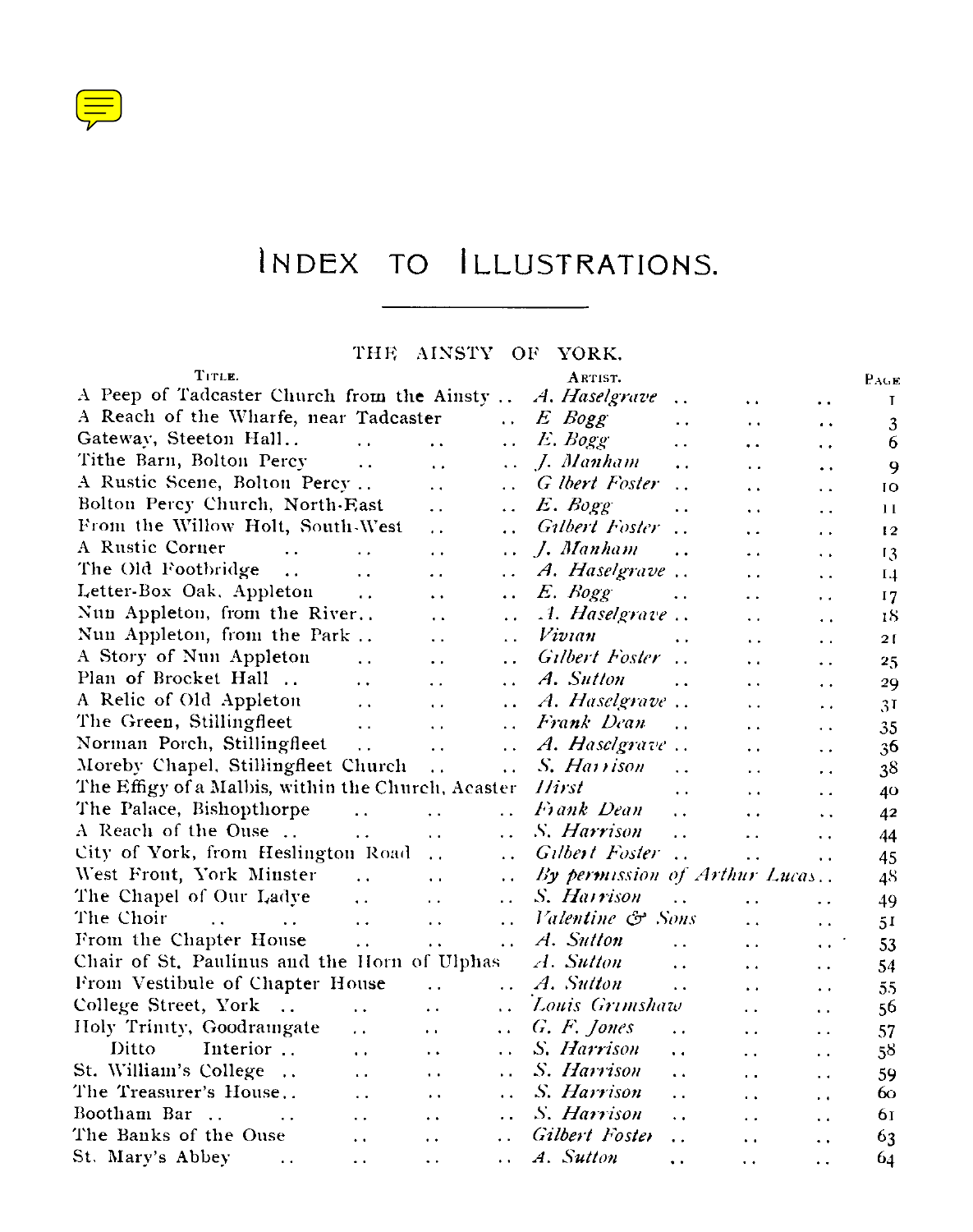

## INDEX TO ILLUSTRATIONS.

Ξ.

## THE AINSTY OF YORK.

| TITLE.                                                                           |                      |                        |                      | ARTIST.                       |                      |                      |                      | PAGE           |
|----------------------------------------------------------------------------------|----------------------|------------------------|----------------------|-------------------------------|----------------------|----------------------|----------------------|----------------|
| A Peep of Tadcaster Church from the Ainsty                                       |                      |                        |                      | A. Haselgrave                 | $\ddot{\phantom{a}}$ | $\ddot{\phantom{1}}$ | $\ddot{\phantom{a}}$ | T              |
| A Reach of the Wharfe, near Tadcaster                                            |                      |                        | $\ddot{\phantom{a}}$ | E Bogg                        | . .                  | $\ddot{\phantom{0}}$ | $\cdot$              | 3              |
| Gateway, Steeton Hall                                                            | $\ddot{\phantom{a}}$ |                        | Ω.                   | E. Bogg                       | . .                  | $\ddot{\phantom{a}}$ | $\ddot{\phantom{0}}$ | 6              |
| Tithe Barn, Bolton Percy                                                         | $\ddot{\phantom{a}}$ | $\ddot{\phantom{a}}$   | $\ddotsc$            | J. Manham                     | . .                  | $\ddot{\phantom{a}}$ | $\ddot{\phantom{0}}$ | 9              |
| A Rustic Scene, Bolton Percy                                                     |                      | $\ddot{\phantom{0}}$   | . .                  | G lbert Foster                | $\ddot{\phantom{a}}$ | $\ddot{\phantom{a}}$ | $\ddot{\phantom{a}}$ | IO             |
| Bolton Percy Church, North-East                                                  |                      | $\ddot{\phantom{0}}$   | . .                  | E. Bogg                       | $\ddot{\phantom{0}}$ | $\ddot{\phantom{1}}$ | $\ddot{\phantom{a}}$ | $\bf{1}$       |
| From the Willow Holt, South-West                                                 |                      | $\cdot$ $\cdot$        | $\ddot{\phantom{a}}$ | Gilbert Foster                |                      | $\ddot{\phantom{1}}$ | $\cdot$ .            | 12             |
| A Rustic Corner<br>$\ddot{\phantom{0}}$                                          |                      | . .                    | $\ddot{\phantom{a}}$ | 1. Manham                     |                      | $\ddot{\phantom{0}}$ | $\ddot{\phantom{1}}$ | 13             |
| The Old Footbridge                                                               | $\ddot{\phantom{0}}$ | . .                    | $\ddot{\phantom{0}}$ | A. Haselgrave                 |                      | $\ddot{\phantom{1}}$ | $\ddot{\phantom{a}}$ | 1.4            |
| Letter-Box Oak, Appleton                                                         | $\ddot{\phantom{a}}$ | $\ddot{\phantom{0}}$   | $\ddot{\phantom{0}}$ | E. Bogg                       | $\ddot{\phantom{a}}$ | $\ddot{\phantom{a}}$ | $\ddot{\phantom{a}}$ | 17             |
| Nun Appleton, from the River                                                     |                      | $\ddot{\phantom{0}}$   | $\ddot{\phantom{0}}$ | .1. Haselgrave                |                      | $\ddot{\phantom{0}}$ | $\ddot{\phantom{a}}$ | 18             |
| Nun Appleton, from the Park                                                      |                      | $\ddot{\phantom{a}}$   | $\ddot{\phantom{0}}$ | Vivian                        | $\ddot{\phantom{1}}$ | $\ddot{\phantom{a}}$ | $\ddot{\phantom{0}}$ | 21             |
| A Story of Nun Appleton                                                          | $\ddot{\phantom{0}}$ | $\ddot{\phantom{0}}$   | $\ddot{\phantom{0}}$ | Gilbert Foster                |                      | $\ddot{\phantom{1}}$ | $\ddot{\phantom{1}}$ | 25             |
| Plan of Brocket Hall                                                             | $\ddot{\phantom{0}}$ | $\ddot{\phantom{0}}$   | $\ddot{\phantom{a}}$ | A. Sutton                     | . .                  | $\ddot{\phantom{0}}$ | $\ddot{\phantom{0}}$ | 29             |
| A Relic of Old Appleton                                                          | $\ddot{\phantom{0}}$ | $\ddot{\phantom{a}}$   | $\ddot{\phantom{0}}$ | A. Haselgrave                 |                      | $\ddot{\phantom{0}}$ | $\ddot{\phantom{0}}$ | 3 <sup>T</sup> |
| The Green, Stillingfleet                                                         | $\ddot{\phantom{a}}$ | $\ddot{\phantom{0}}$   | $\ddot{\phantom{a}}$ | Frank Dean                    | $\ddot{\phantom{a}}$ | $\ddot{\phantom{0}}$ | $\ddot{\phantom{1}}$ | 35             |
| Norman Porch, Stillingfleet                                                      | $\sim$ $\sim$        | $\ddotsc$              | $\ddot{\phantom{a}}$ | A. Haselgrave                 |                      | $\ddot{\phantom{0}}$ | $\ddot{\phantom{0}}$ | 36             |
| Moreby Chapel, Stillingfleet Church                                              |                      | $\ddot{\phantom{a}}$   | $\ddot{\phantom{a}}$ | S. Harrison                   | $\ddot{\phantom{a}}$ | $\bullet$ $\bullet$  | $\ddot{\phantom{0}}$ | 38             |
| The Effigy of a Malbis, within the Church, Acaster                               |                      |                        |                      | Hirst                         | $\ddot{\phantom{1}}$ | $\bullet$ $\bullet$  | $\ddot{\phantom{0}}$ | 40             |
| The Palace, Bishopthorpe                                                         | $\sim$ $\sim$        | $\ddot{\phantom{1}}$   | i.                   | Frank Dean                    | $\ddot{\phantom{a}}$ | $\ddot{\phantom{a}}$ | $\ddot{\phantom{0}}$ | 42             |
| A Reach of the Ouse                                                              | $\ddot{\phantom{a}}$ | $\ddot{\phantom{a}}$   | $\ddot{\phantom{a}}$ | S. Harrison                   | $\ddot{\phantom{a}}$ | $\ddot{\phantom{a}}$ | $\ddot{\phantom{0}}$ | 44             |
| City of York, from Heslington Road                                               |                      | $\ddot{\phantom{0}}$   | $\ddot{\phantom{0}}$ | Gilbert Foster                |                      | $\ddot{\phantom{a}}$ | $\ddot{\phantom{0}}$ | 45             |
| West Front, York Minster                                                         | $\ddot{\phantom{a}}$ | $\ddot{\phantom{a}}$   | $\ddot{\phantom{0}}$ | By permission of Arthur Lucas |                      |                      |                      | 48             |
| The Chapel of Our Ladve                                                          | $\ddot{\phantom{a}}$ | $\ddot{\phantom{0}}$   | $\ddot{\phantom{a}}$ | S. Harrison                   | $\ddot{\phantom{a}}$ | $\ddot{\phantom{a}}$ | $\ddotsc$            | 49             |
| The Choir<br>$\mathbf{r}$ . The state of $\mathbf{r}$ is a state of $\mathbf{r}$ | $\ddot{\phantom{1}}$ | $\ddot{\phantom{0}}$   | $\ddot{\phantom{0}}$ | Valentine & Sons              |                      | $\ddot{\phantom{0}}$ | $\ddot{\phantom{a}}$ | 51             |
| From the Chapter House                                                           | $\ddot{\phantom{a}}$ | $\ddot{\phantom{a}}$ . | $\ddot{\phantom{a}}$ | A. Sutton                     | $\ddot{\phantom{0}}$ | $\ddot{\phantom{a}}$ | $\ddot{\phantom{0}}$ | 53             |
| Chair of St. Paulinus and the Horn of Ulphas                                     |                      |                        |                      | A. Sutton                     | $\ddot{\phantom{a}}$ | $\ddot{\phantom{a}}$ | $\ddot{\phantom{0}}$ | 54             |
| From Vestibule of Chapter House                                                  |                      | $\ddot{\phantom{a}}$   | $\ddot{\phantom{a}}$ | A. Sutton                     | $\ddot{\phantom{a}}$ | $\ddot{\phantom{0}}$ | $\ddot{\phantom{0}}$ | 55             |
| College Street, York                                                             | $\ddot{\phantom{0}}$ | $\ddot{\phantom{0}}$   |                      | Louis Grimshaw                |                      | $\ddot{\phantom{a}}$ | $\ddot{\phantom{a}}$ | 56             |
| Holy Trinity, Goodraingate                                                       | $\ddot{\phantom{0}}$ | $\ddot{\phantom{a}}$   | $\ddot{\phantom{a}}$ | G. F. Jones                   | $\ddot{\phantom{0}}$ | $\ddot{\phantom{1}}$ | $\ddot{\phantom{a}}$ | 57             |
| Ditto<br>Interior                                                                | $\ddot{\phantom{a}}$ | $\ddot{\phantom{0}}$   | $\ddot{\phantom{a}}$ | S. Harrison                   | . .                  | $\ddotsc$            | $\ddot{\phantom{a}}$ | 58             |
| St. William's College                                                            | $\ddot{\phantom{0}}$ | $\ddot{\phantom{0}}$   | . .                  | S. Harrison                   | $\ddot{\phantom{a}}$ | . .                  | $\ddot{\phantom{a}}$ | 59             |
| The Treasurer's House                                                            | $\ddot{\phantom{a}}$ | $\ddot{\phantom{0}}$   | $\ddot{\phantom{a}}$ | S. Harrison                   | $\ddot{\phantom{0}}$ | . .                  | $\ddot{\phantom{0}}$ | 60             |
| Bootham Bar<br>$\sim$<br><b>Contractor</b>                                       | $\ddot{\phantom{a}}$ | $\ddot{\phantom{0}}$   | $\ddotsc$            | S. Harrison                   | $\ddot{\phantom{0}}$ | . .                  | $\ddot{\phantom{0}}$ | 61             |
| The Banks of the Ouse                                                            | $\ddot{\phantom{0}}$ | $\ddot{\phantom{0}}$   |                      | Gilbert Foster                | . .                  | $\ddot{\phantom{0}}$ | $\ddot{\phantom{0}}$ | 63             |
| St. Mary's Abbey<br><b>Contract Contract</b>                                     | $\ddot{\phantom{0}}$ | $\ddot{\phantom{0}}$   | $\cdot$ .            | A. Sutton                     | $\ddot{\phantom{0}}$ | $\ddot{\phantom{0}}$ | $\ddot{\phantom{0}}$ | 64             |
|                                                                                  |                      |                        |                      |                               |                      |                      |                      |                |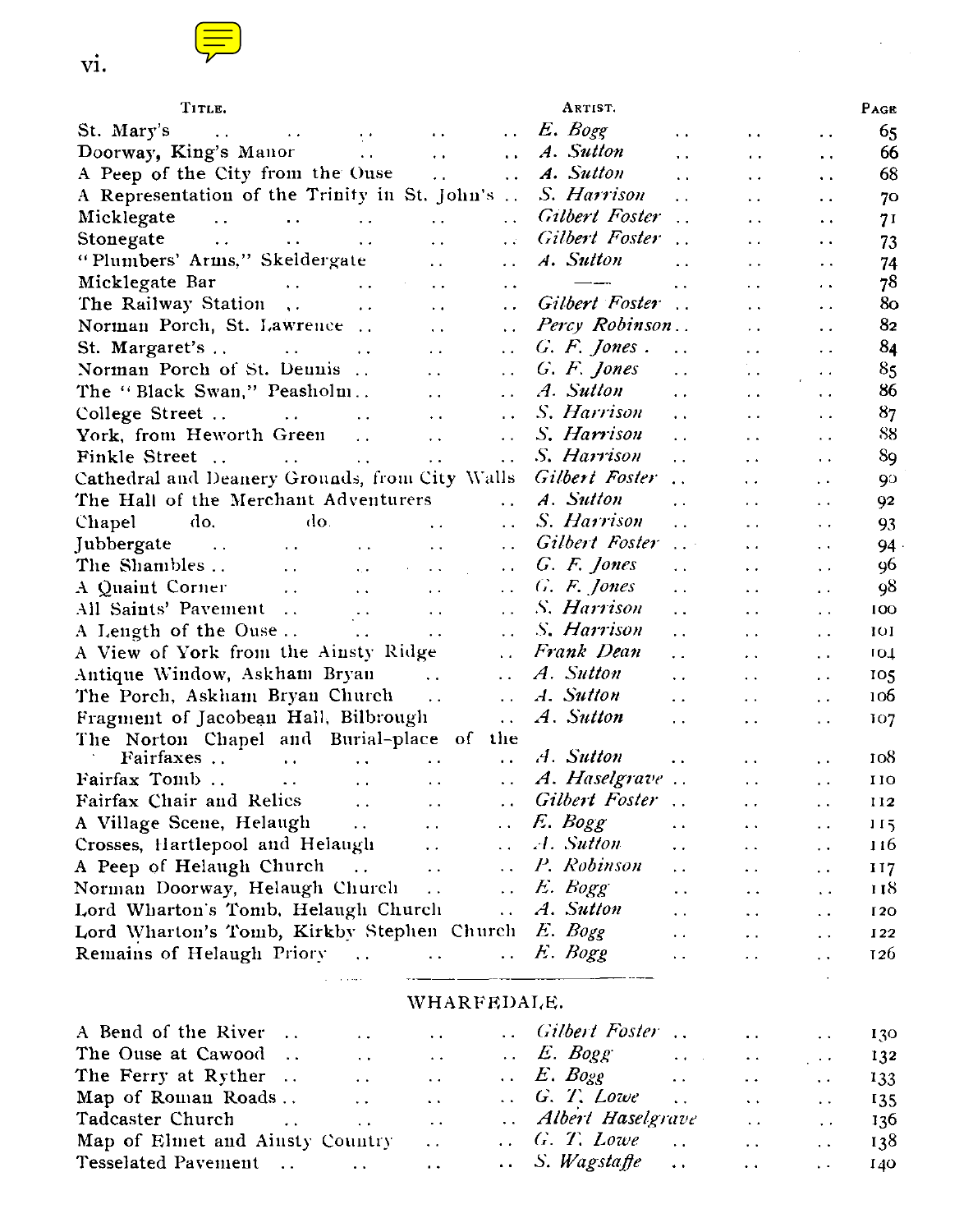

| vi.                                                                                                                    |                                                                                       |                             |                                                                                                    |                        |                                              |                                              |            |
|------------------------------------------------------------------------------------------------------------------------|---------------------------------------------------------------------------------------|-----------------------------|----------------------------------------------------------------------------------------------------|------------------------|----------------------------------------------|----------------------------------------------|------------|
| TITLE.                                                                                                                 |                                                                                       |                             | ARTIST.                                                                                            |                        |                                              |                                              | PAGE       |
| St. Mary's                                                                                                             | $\sim$ $\sim$                                                                         | $\ddot{\phantom{a}}$        | E. Bogg                                                                                            | $\ddot{\phantom{a}}$   | $\ddot{\phantom{a}}$                         | $\ddot{\phantom{0}}$                         | 65         |
|                                                                                                                        | $\ddot{\phantom{0}}$                                                                  | $\sim$                      | A. Sutton                                                                                          | . .                    | $\ddot{\phantom{a}}$                         | $\ddot{\phantom{0}}$                         | 66         |
| A Peep of the City from the Ouse                                                                                       | $\ddot{\phantom{a}}$                                                                  | $\ddot{\phantom{a}}$        | A. Sutton                                                                                          | $\ddotsc$              | $\ddot{\phantom{0}}$                         |                                              | 68         |
| A Representation of the Trinity in St. John's                                                                          |                                                                                       |                             | S. Harrison                                                                                        | $\ddot{\phantom{0}}$   | . .                                          | $\ddot{\phantom{a}}$<br>$\ddot{\phantom{a}}$ | 70         |
| Micklegate<br>$\mathcal{L}(\mathbf{z},\mathbf{z})$ . The contribution of the $\mathcal{L}(\mathbf{z},\mathbf{z})$      | $\sim$ .                                                                              | $\mathcal{L}(\mathbf{x})$   | <b>Gilbert Foster</b>                                                                              | $\ddot{\phantom{0}}$   | $\ddot{\phantom{0}}$                         | . .                                          | 71         |
| $\sim 100$ km s $^{-1}$ m $^{-1}$ and $^{-1}$<br>Stonegate<br>$\sim 100$ km s $^{-1}$                                  | $\ddot{\phantom{a}}$                                                                  | $\mathbf{r}$                | Gilbert Foster                                                                                     |                        | $\ddot{\phantom{0}}$                         | $\ddot{\phantom{0}}$                         | 73         |
| "Plumbers' Arms," Skeldergate                                                                                          | $\sim$ $\sim$                                                                         | $\ddotsc$                   | A. Sutton                                                                                          | $\ddot{\phantom{0}}$   | $\ddotsc$                                    | $\ddot{\phantom{0}}$                         | 74         |
| Micklegate Bar<br>$\sim 100$ km s $^{-1}$<br>$\sim 100$ km s $^{-1}$                                                   | $\ddot{\phantom{a}}$                                                                  | $\ddot{\phantom{0}}$        | $\frac{1}{2}$                                                                                      | $\ddot{\phantom{a}}$   | $\ddot{\phantom{0}}$                         | $\cdot$ .                                    | 78         |
| The Railway Station<br>$\sim 100$ km s $^{-1}$                                                                         | $\ddot{\phantom{0}}$                                                                  | $\ddot{\phantom{a}}$        | Gilbert Foster                                                                                     | $\sim$ .               | $\ddot{\phantom{0}}$                         | $\ddot{\phantom{0}}$                         | 80         |
| Norman Porch, St. Lawrence                                                                                             | $\sim$ $\sim$                                                                         | $\ddot{\phantom{0}}$        | Percy Robinson                                                                                     |                        | $\ddotsc$                                    | $\ddot{\phantom{0}}$                         | 82         |
|                                                                                                                        | $\ddot{\phantom{a}}$                                                                  | $\ddot{\phantom{0}}$        | G. F. Jones.                                                                                       | $\ddot{\phantom{a}}$   | $\ddot{\phantom{0}}$                         | $\ddot{\phantom{0}}$                         | 84         |
| Norman Porch of St. Dennis                                                                                             | $\sim$ $\sim$                                                                         | $\ddot{\phantom{a}}$        | G. F. Jones                                                                                        | $\ddot{\phantom{0}}$   | $\ddot{\phantom{0}}$                         | $\ddotsc$                                    | 85         |
| The "Black Swan," Peasholm                                                                                             | $\sim 10^{-1}$                                                                        | $\ddot{\phantom{a}}$        | A. Sutton                                                                                          | $\ddot{\phantom{0}}$   |                                              |                                              | 86         |
| College Street                                                                                                         | $\sim$ .                                                                              | $\ddot{\phantom{1}}$        | S. Harrison                                                                                        | $\ddot{\phantom{a}}$   | $\ddot{\phantom{1}}$<br>$\ddot{\phantom{0}}$ | $\ddot{\phantom{0}}$<br>$\ddot{\phantom{a}}$ | 87         |
| $\mathcal{L}^{\text{max}}$ and $\mathcal{L}^{\text{max}}$ . The $\mathcal{L}^{\text{max}}$<br>York, from Heworth Green |                                                                                       |                             | S. Harrison                                                                                        |                        |                                              |                                              | 88         |
|                                                                                                                        | $\sim$ $\sim$                                                                         | $\ddot{\phantom{0}}$        | S. Harrison                                                                                        | $\ddot{\phantom{a}}$   | $\ddot{\phantom{a}}$                         | $\ddot{\phantom{a}}$                         | 89         |
| Cathedral and Deanery Grounds, from City Walls                                                                         |                                                                                       | $\ddot{\phantom{a}}$        | Gilbert Foster                                                                                     | $\ddot{\phantom{0}}$   | $\ddotsc$                                    | $\ddot{\phantom{0}}$                         |            |
| The Hall of the Merchant Adventurers                                                                                   |                                                                                       |                             | A. Sutton                                                                                          | $\ddot{\phantom{1}}$   | . .                                          | $\ddot{\phantom{a}}$                         | 90         |
| do.<br>do,                                                                                                             |                                                                                       | $\ddotsc$<br>$\sim$ $\sim$  | S. Harrison                                                                                        | $\ddotsc$              | $\ddotsc$                                    | $\ddot{\phantom{1}}$                         | 92         |
| Chapel<br><b>Service Control</b>                                                                                       | $\ddot{\phantom{a}}$                                                                  |                             | Gilbert Foster                                                                                     | $\ddotsc$              | $\ddot{\phantom{0}}$                         | $\ddot{\phantom{0}}$                         | 93         |
| Jubbergate<br><b>Contractor</b>                                                                                        | $\sim$                                                                                | $\sim$ $\sim$               | G. F. Jones                                                                                        | $\sim 10^{-11}$        | $\ddot{\phantom{0}}$                         | $\ddot{\phantom{1}}$                         | 94<br>96   |
| The Shambles<br>$\sim 10^{-10}$                                                                                        | $\mathcal{L}^{\text{max}}$ and $\mathcal{L}^{\text{max}}$<br>$\sim 100$               | $\sim$ $\sim$               | G. F. Jones                                                                                        | i.                     | $\ddot{\phantom{0}}$                         | $\ddot{\phantom{0}}$                         |            |
| A Quaint Corner<br>$\sim 100$ km s $^{-1}$                                                                             | $\sim 100$<br>$\sim 10$                                                               | $\sim$ $\sim$               | S. Harrison                                                                                        | $\ddot{\phantom{1}}$   | $\ddot{\phantom{a}}$                         | $\ddot{\phantom{a}}$                         | 98         |
| All Saints' Pavement                                                                                                   | $\mathbb{R}^4$<br>$\Box$<br>$\mathcal{L}_{\text{max}}$ and $\mathcal{L}_{\text{max}}$ | $\ddotsc$                   | S. Harrison                                                                                        | $\ddotsc$              | $\ddot{\phantom{1}}$ .                       | $\ddot{\phantom{a}}$                         | 100        |
| A Length of the Ouse                                                                                                   |                                                                                       | $\ddotsc$                   | Frank Dean                                                                                         | . .                    | $\ddot{\phantom{0}}$                         | $\ddot{\phantom{1}}$                         | 101        |
| A View of York from the Ainsty Ridge                                                                                   |                                                                                       | $\ddot{\phantom{0}}$        | A. Sutton                                                                                          | L.                     | . .                                          | $\ddotsc$                                    | 104        |
| Antique Window, Askham Bryan                                                                                           |                                                                                       | $\ddot{\phantom{a}}$        |                                                                                                    | $\sim$                 | $\ddot{\phantom{0}}$                         | $\ddot{\phantom{1}}$                         | 105        |
| The Porch, Askham Bryan Church                                                                                         |                                                                                       | $\sim 10^{-11}$             | A. Sutton                                                                                          | $\ddot{\phantom{0}}$   | $\ddot{\phantom{0}}$                         | $\ddot{\phantom{0}}$                         | 106        |
| Fragment of Jacobean Hall, Bilbrough                                                                                   |                                                                                       | $\mathcal{L}(\mathcal{L})$  | A. Sutton                                                                                          | $\ddot{\phantom{a}}$   | $\ddot{\phantom{1}}$                         | $\ddot{\phantom{1}}$                         | 107        |
| The Norton Chapel and Burial-place of the                                                                              |                                                                                       |                             | A. Sutton                                                                                          |                        |                                              |                                              | 108        |
| Fairfax Tomb                                                                                                           | $\sim 100$                                                                            | $\sim$ $\sim$               | A. Haselgrave                                                                                      | $\ddot{\phantom{a}}$   | $\ddot{\phantom{0}}$                         | $\ddot{\phantom{a}}$                         |            |
| $\sim 100$ $\mu$                                                                                                       | $\sim$ $\sim$<br>$\sim$ $\sim$                                                        | $\ddot{\phantom{a}}$ .      |                                                                                                    |                        | $\ddot{\phantom{1}}$                         | $\ddot{\phantom{1}}$                         | 110        |
| Fairfax Chair and Relics                                                                                               | $\sim$ $\sim$<br>$\sim$ $\sim$                                                        | $\sim$ $\sim$               | Gilbert Foster                                                                                     |                        | $\ddot{\phantom{a}}$                         | $\ddot{\phantom{a}}$                         | 112        |
| A Village Scene, Helaugh                                                                                               | $\ddotsc$                                                                             | $\ddot{\phantom{0}}$        | E. Bogg                                                                                            | $\ddot{\phantom{a}}$   | $\ddot{\phantom{1}}$                         | $\ddotsc$                                    | 115        |
| Crosses, Hartlepool and Helaugh                                                                                        | $\sim 10^{-11}$                                                                       | $\ddotsc$                   | A. Sutton                                                                                          | $\ddot{\phantom{0}}$   | $\ddot{\phantom{a}}$                         | $\ddot{\phantom{1}}$ .                       | 116        |
| A Peep of Helaugh Church                                                                                               | $\sim 10^{-10}$<br>$\sim 100$                                                         | $\sim 10^{-11}$             | P. Robinson                                                                                        | $\ddot{\phantom{a}}$   | $\ddot{\phantom{a}}$                         | $\ddot{\phantom{0}}$                         | 117        |
| Norman Doorway, Helaugh Church                                                                                         |                                                                                       | $\sim$ $\sim$               | E. Bogg                                                                                            | $\ddotsc$              | $\ddotsc$                                    | $\ddot{\phantom{a}}$                         | 118        |
| Lord Wharton's Tomb, Helaugh Church                                                                                    |                                                                                       | $\mathcal{L}(\mathcal{L})$  | A. Sutton                                                                                          | $\sim$ $\sim$          | $\ddotsc$                                    | $\ddot{\phantom{1}}$ .                       | <b>120</b> |
| Lord Wharton's Tomb, Kirkby Stephen Church E. Bogg                                                                     |                                                                                       |                             |                                                                                                    | $\ddot{\phantom{0}}$   | $\ddot{\phantom{0}}$                         | $\ddot{\phantom{0}}$                         | I22        |
| Remains of Helaugh Priory                                                                                              | $\sim 10^{-11}$                                                                       | $\mathbf{r}$                | E. Bogg                                                                                            | $\ddot{\phantom{0}}$   | $\ddot{\phantom{0}}$                         | $\ddot{\phantom{1}}$ .                       | 126        |
| and a state                                                                                                            |                                                                                       | WHARFEDALE.                 |                                                                                                    |                        |                                              |                                              |            |
| A Bend of the River                                                                                                    |                                                                                       |                             | Gilbert Foster                                                                                     |                        |                                              |                                              |            |
|                                                                                                                        | $\ddot{\phantom{a}}$                                                                  | $\ddot{\phantom{a}}$        |                                                                                                    |                        | $\sim$ $\sim$                                | $\ddot{\phantom{a}}$                         | 130        |
| The Ouse at Cawood                                                                                                     | $\sim 10^{-1}$<br>$\sim 10$                                                           | $\mathbf{r}$ , $\mathbf{r}$ | E. Bogg<br>$\mathcal{L}^{\text{max}}_{\text{max}}$ , where $\mathcal{L}^{\text{max}}_{\text{max}}$ |                        | $\ddot{\phantom{1}}$ .                       | $\sim$                                       | 132        |
| The Ferry at Ryther                                                                                                    | $\sim 10^{-1}$<br>$\sim$ $\sim$                                                       | $\sim 10^{-11}$             | $E.$ Bogg<br>$G. T. Lowe$                                                                          | $\ddot{\phantom{a}}$ . | $\ddot{\phantom{0}}$                         | $\ddot{\phantom{1}}$ .                       | 133        |
| Map of Roman Roads<br>Todooston Church                                                                                 | $\ddot{\phantom{1}}$<br>$\ddot{\phantom{0}}$                                          | $\ddot{\phantom{a}}$ .      | Albert Hacelows                                                                                    |                        | $\ddot{\phantom{1}}$                         | $\ddotsc$                                    | 135<br>7.6 |

## WHARFEDALE.

| A Bend of the River             | the activity of the control of |                   | Gilbert Foster   130                                      |                                                           |                                  |  |
|---------------------------------|--------------------------------|-------------------|-----------------------------------------------------------|-----------------------------------------------------------|----------------------------------|--|
| The Ouse at Cawood              | <b>Sales Contract Contract</b> |                   | $\therefore$ <i>E. Bogg</i> $\therefore$ $\therefore$ 132 |                                                           |                                  |  |
| The Ferry at Ryther             | and the state of the state of  |                   | $\therefore$ <i>E. Bogg</i> 133                           |                                                           |                                  |  |
|                                 |                                |                   | G. T. Lowe    135                                         |                                                           |                                  |  |
|                                 |                                |                   | Albert Haselgrave                                         | $\mathcal{L}^{\text{max}}$ and $\mathcal{L}^{\text{max}}$ | $\ldots$ 136                     |  |
| Map of Elmet and Ainsty Country |                                | $\sim$ 4.4 $\sim$ | $\ldots$ G. T. Lowe $\ldots$                              |                                                           | $\ldots$ $\ldots$ $\ldots$ $138$ |  |
|                                 |                                |                   | $\therefore$ S. Wagstaffe $\therefore$ $\therefore$ 140   |                                                           |                                  |  |
|                                 |                                |                   |                                                           |                                                           |                                  |  |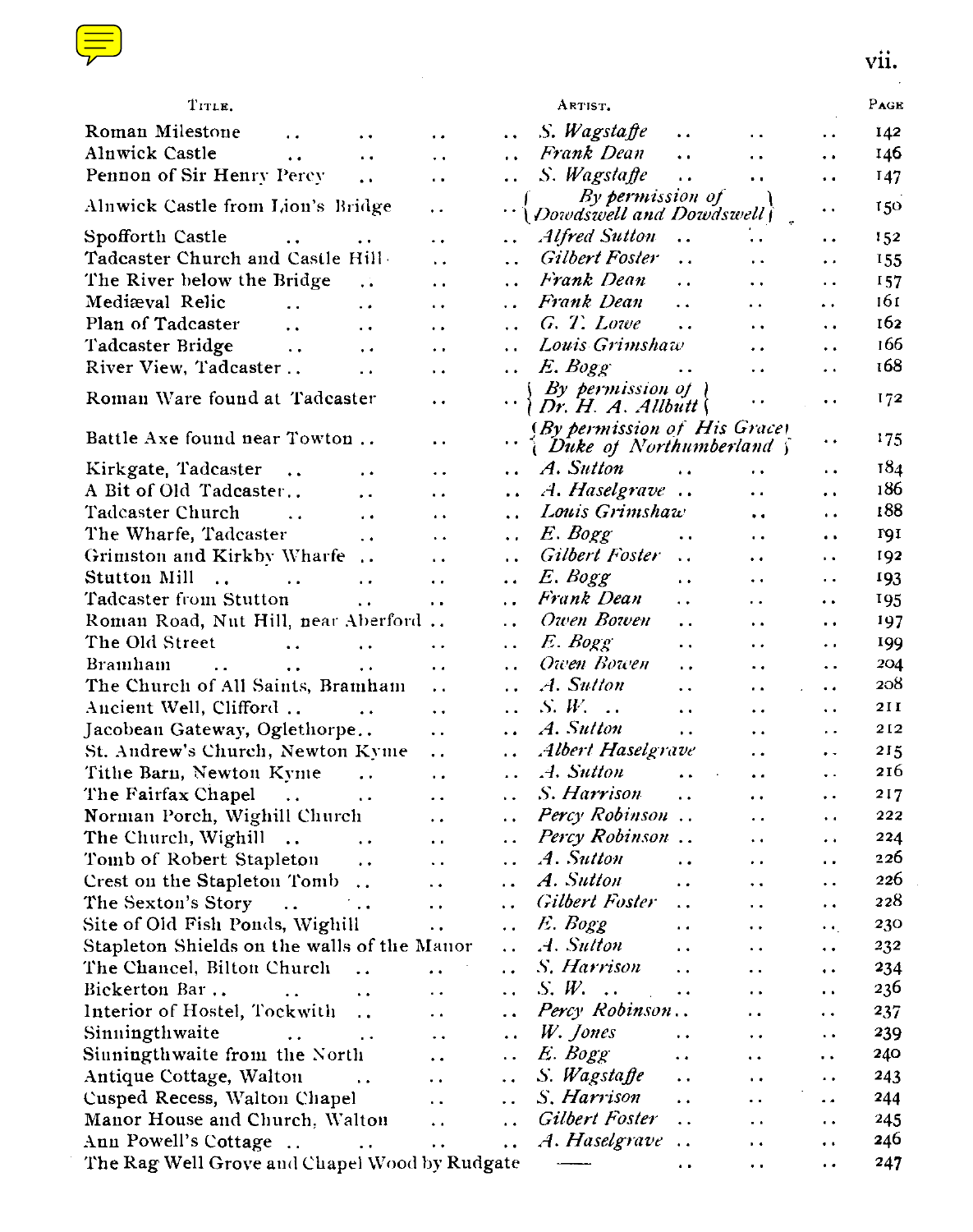| <b>Contract Contract Contract Contract Contract Contract Contract Contract Contract Contract Contract Contract Co</b><br>and the state of the state of the state of the state of the state of the state of the state of the state of th                                  |    |
|--------------------------------------------------------------------------------------------------------------------------------------------------------------------------------------------------------------------------------------------------------------------------|----|
| <b>Contract Contract Contract Contract Contract Contract Contract Contract Contract Contract Contract Contract Co</b><br><b>Service Service</b><br><b>Contract Contract Contract Contract Contract Contract Contract Contract Contract Contract Contract Contract Co</b> |    |
|                                                                                                                                                                                                                                                                          | ۰. |

| TITLE.                                                                          |                      |                      | ARTIST.                                                          |                      |                      | PAGE |
|---------------------------------------------------------------------------------|----------------------|----------------------|------------------------------------------------------------------|----------------------|----------------------|------|
| Roman Milestone<br>$\ddot{\phantom{a}}$<br>$\ddot{\phantom{0}}$                 | $\ddot{\phantom{0}}$ | $\ddot{\phantom{0}}$ | S. Wagstaffe<br>$\ddot{\phantom{0}}$                             | $\ddot{\phantom{0}}$ | $\ddot{\phantom{0}}$ | 142  |
| Alnwick Castle<br>$\ddot{\phantom{1}}$<br>$\ddot{\phantom{0}}$                  | $\ddot{\phantom{0}}$ | $\ddot{\phantom{0}}$ | Frank Dean<br>$\ddotsc$                                          | . .                  | $\ddot{\phantom{0}}$ | 146  |
| Pennon of Sir Henry Percy<br>$\ddot{\phantom{0}}$                               | $\ddot{\phantom{0}}$ | $\ddot{\phantom{0}}$ | S. Wagstaffe<br>$\ddot{\phantom{0}}$                             | $\ddot{\phantom{0}}$ | $\ddot{\phantom{a}}$ | I 47 |
| Alnwick Castle from Lion's Bridge                                               | . .                  |                      | By permission of<br>Dowdswell and Dowdswell                      |                      | . .                  | 150  |
| Spofforth Castle<br>$\ddot{\phantom{0}}$<br>$\ddot{\phantom{0}}$                | $\ddot{\phantom{0}}$ | $\ddot{\phantom{0}}$ | Alfred Sutton<br>$\ddot{\phantom{0}}$                            | $\ddot{\phantom{0}}$ | . .                  | 152  |
| Tadcaster Church and Castle Hill-                                               | $\ddot{\phantom{a}}$ | $\ddot{\phantom{a}}$ | Gilbert Foster<br>$\ddot{\phantom{a}}$                           | . .                  | $\ddot{\phantom{0}}$ | 155  |
| The River below the Bridge<br>. .                                               | $\ddot{\phantom{a}}$ | $\ddot{\phantom{0}}$ | Frank Dean<br>$\ddot{\phantom{a}}$                               | $\ddot{\phantom{a}}$ | $\ddot{\phantom{0}}$ | 157  |
| Mediæval Relic<br>$\ddot{\phantom{a}}$<br>$\ddot{\phantom{0}}$                  | $\ddot{\phantom{0}}$ | $\ddot{\phantom{0}}$ | Frank Dean<br>$\ddot{\phantom{a}}$                               | . .                  | $\ddot{\phantom{1}}$ | 161  |
| Plan of Tadcaster<br>$\ddot{\phantom{0}}$<br>$\ddot{\phantom{0}}$               | $\ddot{\phantom{0}}$ | $\ddot{\phantom{a}}$ | G. T. Lowe<br>$\ddot{\phantom{a}}$                               | . .                  | ٠.                   | 162  |
| Tadcaster Bridge<br>$\ddotsc$<br>$\ddot{\phantom{0}}$                           | $\ddot{\phantom{0}}$ | $\ddot{\phantom{0}}$ | Louis Grimshaw                                                   | . .                  | . .                  | 166  |
| River View, Tadcaster<br>$\ddot{\phantom{0}}$                                   | $\ddot{\phantom{0}}$ | . .                  | E. Bogg                                                          | . .                  | . .                  | 168  |
| Roman Ware found at Tadcaster                                                   | . .                  |                      | By permission of \<br>Dr. H. A. All but                          |                      | . .                  | 172  |
| Battle Axe found near Towton                                                    | $\ddot{\phantom{a}}$ | . .                  | (By permission of His Grace)<br><i>(Duke of Northumberland )</i> |                      | ٠.                   | 175  |
| Kirkgate, Tadcaster<br>$\ddotsc$<br>$\ddot{\phantom{0}}$                        | . .                  | . .                  | A. Sutton<br>. .                                                 | . .                  | . .                  | 184  |
| A Bit of Old Tadeaster<br>$\ddot{\phantom{0}}$                                  | $\ddot{\phantom{a}}$ | . .                  | A. Haselgrave                                                    | . .                  | $\ddot{\phantom{0}}$ | 186  |
| Tadcaster Church<br>$\ddot{\phantom{a}}$<br>$\ddot{\phantom{0}}$                | $\ddot{\phantom{a}}$ | $\ddot{\phantom{a}}$ | Louis Grimshaw                                                   | $\ddot{\phantom{0}}$ | ٠.                   | 188  |
| The Wharfe, Tadcaster<br>$\ddot{\phantom{a}}$                                   | $\ddot{\phantom{0}}$ | $\ddot{\phantom{0}}$ | E. Bogg<br>$\ddotsc$                                             | $\ddot{\phantom{0}}$ | . .                  | ron  |
| Grimston and Kirkby Wharfe                                                      | $\ddot{\phantom{a}}$ | . .                  | Gilbert Foster<br>$\ddot{\phantom{a}}$                           | $\ddot{\phantom{0}}$ | Ω,                   | 192  |
| Stutton Mill<br>$\dddot{\phantom{0}}$<br>$\ddot{\phantom{0}}$<br>$\ddots$       | $\ddot{\phantom{a}}$ | $\ddot{\phantom{a}}$ | E. Bogg<br>$\ddot{\phantom{0}}$                                  | $\ddot{\phantom{0}}$ | . .                  | 193  |
| Tadeaster from Stutton<br>$\ddot{\phantom{1}}$                                  | μ.                   | . .                  | Frank Dean<br>$\ddot{\phantom{0}}$                               | $\ddot{\phantom{0}}$ |                      | 195  |
| Roman Road, Nut Hill, near Aberford                                             |                      | . .                  | Owen Bowen<br>$\ddot{\phantom{0}}$                               | . .                  | .,                   | 197  |
| The Old Street<br>$\ddot{\phantom{a}}$<br>$\ddot{\phantom{0}}$                  | $\ddot{\phantom{0}}$ | . .                  | E. Bogg<br>. .                                                   | . .                  | . .                  | 199  |
| Bramham<br>$\ddot{\phantom{a}}$<br>$\ddot{\phantom{0}}$<br>$\ddot{\phantom{0}}$ | $\ddot{\phantom{a}}$ | $\ddot{\phantom{a}}$ | Owen Bowen<br>$\ddot{\phantom{a}}$                               | ٠.                   | Ϋ.                   | 204  |
| The Church of All Saints, Bramham                                               | $\ddot{\phantom{a}}$ | . .                  | A. Sution<br>$\ddot{\phantom{0}}$                                | . .                  | . .                  | 208  |
| Ancient Well, Clifford                                                          | $\ddot{\phantom{0}}$ | $\ddot{\phantom{a}}$ | $S, W, \ldots$<br>$\ddot{\phantom{1}}$                           | $\ddot{\phantom{0}}$ | . .                  | 211  |
| Jacobean Gateway, Oglethorpe                                                    | $\ddot{\phantom{0}}$ | . .                  | A. Sutton<br>$\ddot{\phantom{0}}$                                | . .                  | $\ddot{\phantom{1}}$ | 212  |
| St. Andrew's Church, Newton Kyme                                                | $\ddot{\phantom{0}}$ | . .                  | Albert Haselgrave                                                | . .                  | . .                  | 215  |
| Tithe Barn, Newton Kyme<br>$\ddotsc$                                            | $\ddot{\phantom{a}}$ | $\cdot$              | .4. Sutton<br>$\ddot{\phantom{a}}$                               | . .                  | $\ddot{\phantom{0}}$ | 216  |
| The Fairfax Chapel<br>$\sim 10^{-11}$<br>$\ddot{\phantom{a}}$                   | $\ddot{\phantom{a}}$ | . .                  | S. Harrison<br>$\ddot{\phantom{0}}$                              | . .                  | . .                  | 217  |
| Norman Porch, Wighill Church                                                    | . .                  | . .                  | Percy Robinson                                                   | . .                  | ٠.                   | 222  |
| The Church, Wighill<br>. .                                                      | $\ddot{\phantom{1}}$ | . .                  | Percy Robinson                                                   | $\ddot{\phantom{0}}$ | .,                   | 224  |
| Tomb of Robert Stapleton<br>$\ddot{\phantom{0}}$                                | $\ddotsc$            | . .                  | A. Sutton<br>$\ddot{\phantom{0}}$                                | $\ddot{\phantom{1}}$ | μ,                   | 226  |
| Crest on the Stapleton Tomb<br>$\ddot{\phantom{a}}$                             | $\ddot{\phantom{0}}$ | . .                  | A. Sutton<br>$\ddot{\phantom{0}}$                                | $\ddot{\phantom{0}}$ | . .                  | 226  |
| The Sexton's Story<br>$\ddot{\phantom{a}}$<br>$\ddot{\phantom{0}}$              | $\ddot{\phantom{0}}$ | . .                  | <b>Gilbert Foster</b><br>. .                                     | $\ddot{\phantom{0}}$ | $\ddot{\phantom{1}}$ | 228  |
| Site of Old Fish Ponds, Wighill                                                 | $\ddot{\phantom{0}}$ | . .                  | E. Bogg<br>. .                                                   | . .                  | $\ddot{\phantom{1}}$ | 230  |
| Stapleton Shields on the walls of the Manor                                     |                      | μ.                   | A. Sutton<br>$\ddot{\phantom{0}}$                                | $\ddot{\phantom{1}}$ | $\ddot{\phantom{0}}$ | 232  |
| The Chancel, Bilton Church<br>$\ddot{\phantom{a}}$                              | $\ddot{\phantom{0}}$ | . .                  | S. Harrison<br>$\ddot{\phantom{0}}$                              | . .                  | $\ddot{\phantom{1}}$ | 234  |
| Bickerton Bar<br>$\ddot{\phantom{0}}$                                           | . .                  | ٠.                   | S.W.<br>$\ddotsc$<br>$\ddot{\phantom{0}}$                        | . .                  | $\ddot{\phantom{1}}$ | 236  |
| Interior of Hostel, Tockwith<br>$\ddot{\phantom{a}}$                            | $\ddot{\phantom{0}}$ | . .                  | Percy Robinson                                                   | $\ddot{\phantom{0}}$ | $\ddot{\phantom{1}}$ | 237  |
| Sinningthwaite<br>$\ddot{\phantom{1}}$                                          | $\ddot{\phantom{0}}$ | $\ddot{\phantom{1}}$ | W. Jones<br>$\ddot{\phantom{0}}$                                 | $\ddot{\phantom{0}}$ | $\ddot{\phantom{0}}$ | 239  |
| Sinningthwaite from the North                                                   | $\ddot{\phantom{0}}$ | . .                  | E. Bogg<br>$\ddot{\phantom{1}}$                                  | $\ddot{\phantom{1}}$ | $\ddot{\phantom{1}}$ | 240  |
| Antique Cottage, Walton<br>$\ddot{\phantom{1}}$                                 | $\ddot{\phantom{0}}$ | . .                  | S. Wagstaffe<br>$\ddot{\phantom{0}}$                             | $\ddot{\phantom{0}}$ | $\ddot{\phantom{0}}$ | 243  |
| Cusped Recess, Walton Chapel                                                    | $\ddot{\phantom{a}}$ | . .                  | S. Harrison<br>$\ddot{\phantom{0}}$                              | $\ddot{\phantom{a}}$ | $\ddot{\phantom{0}}$ | 244  |
| Manor House and Church, Walton                                                  | $\ddot{\phantom{a}}$ | $\ddot{\phantom{1}}$ | Gilbert Foster<br>$\ddot{\phantom{1}}$                           | $\ddot{\phantom{a}}$ | $\ddot{\phantom{a}}$ | 245  |
| Ann Powell's Cottage<br>$\sim$ .                                                | $\ddot{\phantom{0}}$ | $\ddot{\phantom{0}}$ | A. Haselgrave<br>. .                                             | $\ddot{\phantom{0}}$ | $\ddot{\phantom{0}}$ | 246  |
| The Rag Well Grove and Chapel Wood by Rudgate                                   |                      |                      | $\overline{\phantom{a}}$<br>$\ddot{\phantom{0}}$                 | . .                  | $\ddot{\phantom{0}}$ | 247  |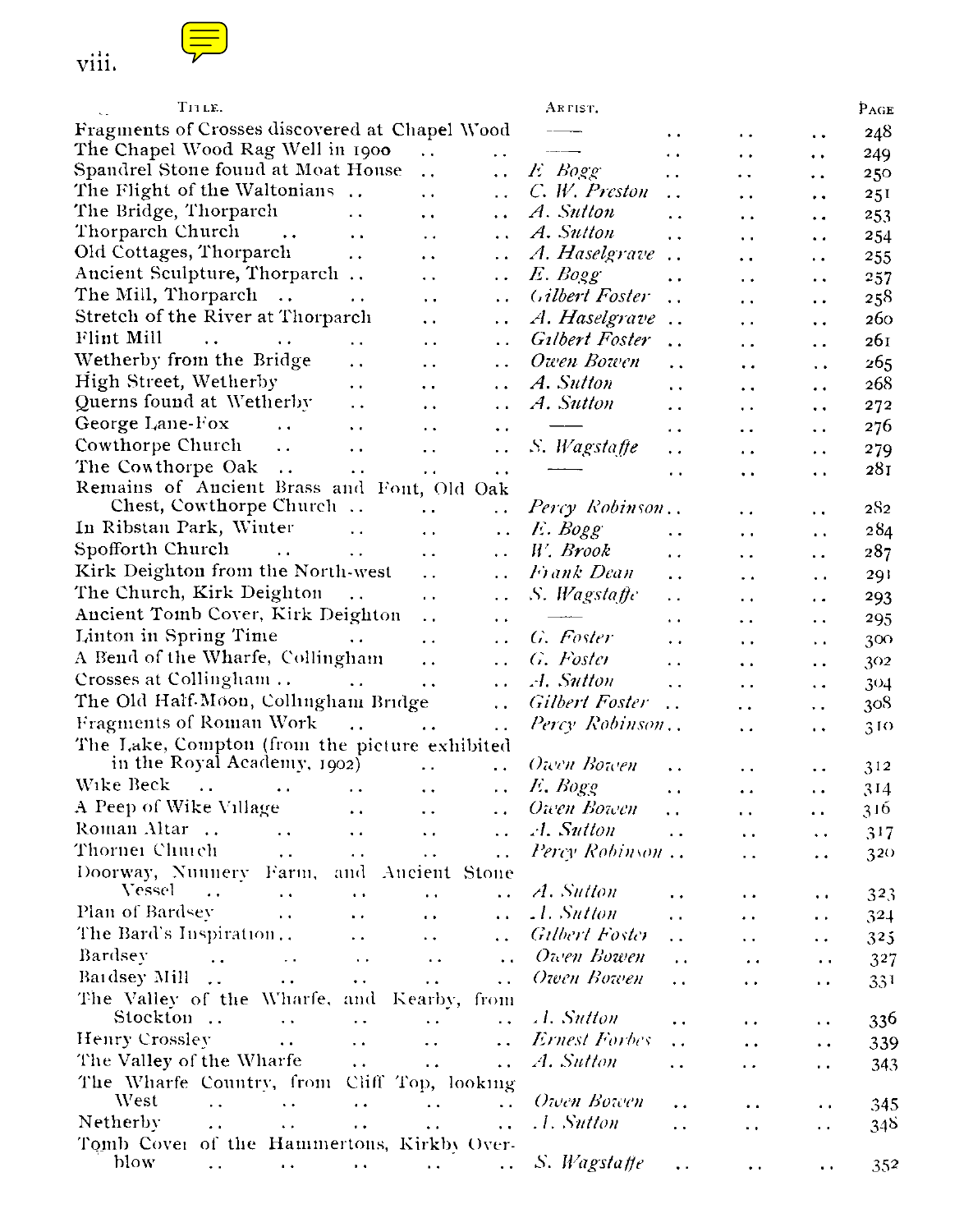



| TILE.                                                      |                                                |                      | ARTIST.               |                        |                      |                      | $P_{\rm AGE}$ |
|------------------------------------------------------------|------------------------------------------------|----------------------|-----------------------|------------------------|----------------------|----------------------|---------------|
| Fragments of Crosses discovered at Chapel Wood             |                                                |                      |                       | $\ddot{\phantom{1}}$   | . .                  | $\ddot{\phantom{1}}$ | 248           |
| The Chapel Wood Rag Well in 1900                           | $\ddot{\phantom{a}}$                           | $\ddot{\phantom{0}}$ |                       | $\ddot{\phantom{a}}$   | $\ddot{\phantom{0}}$ | $\ddot{\phantom{1}}$ | 249           |
| Spandrel Stone found at Moat House                         | $\ddot{\phantom{0}}$                           | $\ddot{\phantom{0}}$ | E Bogg                | . .                    | . .                  | . .                  | 250           |
| The Flight of the Waltonians                               | $\ddot{\phantom{0}}$                           | $\ddot{\phantom{0}}$ | C. W. Preston         | $\ddot{\phantom{a}}$   | $\ddot{\phantom{0}}$ | . .                  | 251           |
| The Bridge, Thorparch                                      | $\ddot{\phantom{0}}$<br>$\ddot{\phantom{0}}$   | $\ddot{\phantom{0}}$ | A. Sutton             | $\ddot{\phantom{a}}$   | $\ddot{\phantom{1}}$ | . .                  | 253           |
| Thorparch Church<br>$\ddot{\phantom{1}}$ .                 | $\ddot{\phantom{a}}$<br>$\ddot{\phantom{0}}$   | $\ddot{\phantom{a}}$ | A. Sutton             | . .                    | . .                  | $\ddot{\phantom{0}}$ | 254           |
| Old Cottages, Thorparch                                    | $\ddot{\phantom{0}}$<br>$\ddotsc$              | $\ddot{\phantom{1}}$ | A. Haselgrave         | $\ddotsc$              | $\ddot{\phantom{1}}$ | . .                  | 255           |
| Ancient Sculpture, Thorparch                               | . .                                            | $\ddot{\phantom{0}}$ | E. Bogg               | $\ddot{\phantom{a}}$   | . .                  | . .                  | 257           |
| The Mill, Thorparch                                        | $\ddot{\phantom{a}}$<br>. .                    | $\ddot{\phantom{0}}$ | Gilbert Foster        | $\ddot{\phantom{0}}$   | $\ddot{\phantom{1}}$ | $\ddot{\phantom{0}}$ | 258           |
| Stretch of the River at Thorparch                          | . .                                            | μ.                   | A. Haselgrave         | $\ddot{\phantom{a}}$   | $\ddot{\phantom{1}}$ | . .                  | 260           |
| Flint Mill<br>$\ddotsc$<br>$\ddot{\phantom{a}}$            | $\ddot{\phantom{0}}$                           | è,                   | Gilbert Foster        | $\ddot{\phantom{a}}$   | $\ddot{\phantom{0}}$ | $\ddot{\phantom{1}}$ | 261           |
| Wetherby from the Bridge                                   | $\ddot{\phantom{1}}$<br>$\ddot{\phantom{0}}$   | . .                  | Owen Bowen            | . .                    | $\ddot{\phantom{0}}$ | $\ddot{\phantom{0}}$ | 265           |
| High Street, Wetherby                                      | $\ddot{\phantom{0}}$<br>$\ddot{\phantom{a}}$   | $\ddot{\phantom{1}}$ | A. Sutton             | . .                    | $\ddot{\phantom{0}}$ | $\ddot{\phantom{0}}$ | 268           |
| Querns found at Wetherby                                   | $\ddot{\phantom{0}}$<br>$\ddot{\phantom{0}}$   | $\ddot{\phantom{0}}$ | A. Sutton             | $\ddot{\phantom{1}}$   | $\ddot{\phantom{0}}$ | $\ddot{\phantom{0}}$ | 272           |
| George Lane-Fox<br>$\ddot{\phantom{a}}$                    | $\ddot{\phantom{0}}$<br>$\ddot{\phantom{a}}$   | $\ddotsc$            |                       | ٠.                     | $\cdot$ .            |                      | 276           |
| Cowthorpe Church<br>$\ddot{\phantom{a}}$                   | $\ddot{\phantom{0}}$<br>$\ddot{\phantom{0}}$   | $\ddot{\phantom{0}}$ | S. Wagstatte          |                        |                      | $\ddot{\phantom{0}}$ | 279           |
| The Cowthorpe Oak<br>$\cdots$                              | $\ddot{\phantom{a}}$<br>μ.                     |                      | -----                 | $\ddot{\phantom{0}}$   | $\ddot{\phantom{a}}$ | $\ddot{\phantom{0}}$ | 281           |
| Remains of Ancient Brass and Font, Old Oak                 |                                                | $\ddot{\phantom{0}}$ |                       | $\cdot$ .              | $\ddot{\phantom{1}}$ | $\ddot{\phantom{a}}$ |               |
| Chest, Cowthorpe Church                                    | $\ddot{\phantom{1}}$                           | $\ddot{\phantom{0}}$ | Percy Robinson        |                        | $\ddot{\phantom{0}}$ | . .                  | 282           |
| In Ribstan Park, Winter                                    | $\ddot{\phantom{a}}$<br>$\ddot{\phantom{0}}$   | $\ddot{\phantom{0}}$ | E. Bogg               | $\ddot{\phantom{0}}$   |                      |                      | 284           |
| Spofforth Church<br>$\ddot{\phantom{a}}$                   | $\ddotsc$<br>. .                               | $\ddot{\phantom{0}}$ | W. Brook              |                        | $\ddot{\phantom{0}}$ | $\ddot{\phantom{0}}$ | 287           |
| Kirk Deighton from the North-west                          | $\ddot{\phantom{0}}$                           |                      | Frank Dean            | $\ddot{\phantom{1}}$   | $\ddot{\phantom{0}}$ | $\ddot{\phantom{1}}$ |               |
| The Church, Kirk Deighton<br>$\ldots$                      | $\ddot{\phantom{a}}$                           | $\ddot{\phantom{0}}$ | S. Wagstaffe          | $\ddot{\phantom{0}}$   | $\ddot{\phantom{0}}$ | $\ddot{\phantom{1}}$ | 291           |
| Ancient Tomb Cover, Kirk Deighton                          |                                                | $\ddot{\phantom{0}}$ | $-$                   | $\ddot{\phantom{1}}$   | $\ddot{\phantom{0}}$ | $\ddot{\phantom{0}}$ | 293           |
| Linton in Spring Time                                      | $\ddotsc$                                      | $\ddot{\phantom{0}}$ |                       | $\ddot{\phantom{1}}$   | $\ddot{\phantom{a}}$ | $\ddot{\phantom{0}}$ | 295           |
|                                                            | $\ddot{\phantom{a}}$                           | $\ddot{\phantom{a}}$ | G. Føster             | $\ddot{\phantom{1}}$   | $\ddot{\phantom{0}}$ | $\ddot{\phantom{1}}$ | 300           |
| A Bend of the Wharfe, Collingham                           | $\ddot{\phantom{0}}$                           | $\ddotsc$            | G. Foster             | $\ddot{\phantom{1}}$   | $\ddot{\phantom{a}}$ | $\ddot{\phantom{1}}$ | 302           |
| Crosses at Collingham                                      | $\ddot{\phantom{0}}$                           | $\ddotsc$            | A. Sutton             | $\ddot{\phantom{a}}$   | $\ddot{\phantom{0}}$ | $\ddot{\phantom{0}}$ | 304           |
| The Old Half-Moon, Collingham Bridge                       |                                                | $\ddot{\phantom{a}}$ | <b>Gilbert Foster</b> | . .                    | $\ddot{\phantom{0}}$ | $\ddot{\phantom{0}}$ | 308           |
| Fragments of Roman Work                                    |                                                | $\ddot{\phantom{0}}$ | Percy Robinson        |                        | $\ddot{\phantom{0}}$ | $\ddot{\phantom{1}}$ | 310           |
| The Lake, Compton (from the picture exhibited              |                                                |                      |                       |                        |                      |                      |               |
| in the Royal Academy, 1902)                                | μ,                                             | $\ddot{\phantom{a}}$ | Owen Bowen            | $\ddot{\phantom{0}}$   | $\ddot{\phantom{0}}$ | $\ddot{\phantom{0}}$ | 312           |
| Wike Beck<br>$\ddotsc$<br>$\ddot{\phantom{0}}$             | $\ddot{\phantom{0}}$<br>$\ddot{\phantom{a}}$   | $\ddot{\phantom{0}}$ | E, Bogg               | $\ddot{\phantom{a}}$   | $\ddot{\phantom{1}}$ | $\ddot{\phantom{0}}$ | 314           |
| A Peep of Wike Village                                     | $\ddot{\phantom{1}}$<br>$\ddot{\phantom{0}}$   | $\ddot{\phantom{0}}$ | Оичт Воичт            | $\ddot{\phantom{0}}$   | $\ddot{\phantom{0}}$ | $\ddot{\phantom{1}}$ | 316           |
| Roman Altar<br>$\ddot{\phantom{0}}$                        | $\ddot{\phantom{0}}$<br>$\ddot{\phantom{0}}$   | $\ddotsc$            | A. Sutton             | $\ddot{\phantom{a}}$   | $\ddot{\phantom{0}}$ | $\ddotsc$            | 317           |
| Thornei Chuich<br>$\ddot{\phantom{a}}$                     | $\ddot{\phantom{a}}$ .<br>$\ddotsc$            | $\ddot{\phantom{0}}$ | Percy Robinson        |                        | $\ddot{\phantom{0}}$ | $\ddot{\phantom{0}}$ | 320           |
| Doorway, Nunnery Farm, and                                 |                                                | -Ancient Stone       |                       |                        |                      |                      |               |
| Vessel<br>$\ddot{\phantom{a}}$<br>$\sim$ $\sim$            | $\ddotsc$<br>$\ddot{\phantom{1}}$              | $\ddot{\phantom{1}}$ | A. Sutton             | . .                    | $\ddot{\phantom{1}}$ | $\ddot{\phantom{0}}$ | 323           |
| Plan of Bardsey<br>$\ddot{\phantom{0}}$                    | $\ddot{\phantom{a}}$<br>$\ddot{\phantom{0}}$   | $\ddot{\phantom{1}}$ | .1. Sutton            | . .                    | $\ddot{\phantom{0}}$ | $\ddot{\phantom{1}}$ | 324           |
| The Bard's Inspiration                                     | $\ddot{\phantom{0}}$<br>$\ddot{\phantom{0}}$   | . .                  | Gilbert Foster        | . .                    | $\ddot{\phantom{0}}$ | $\ddot{\phantom{0}}$ | 325           |
| Bardsev<br>$\sim$ .<br>$\sim$ $\sim$                       | $\sim$<br>$\ddot{\phantom{0}}$                 | $\ddot{\phantom{0}}$ | Owen Bowen            | $\ddot{\phantom{1}}$ . | $\ddot{\phantom{1}}$ | $\ddotsc$            | 327           |
| Baidsey Mill<br>$\ddot{\phantom{1}}$ .                     | $\ddot{\phantom{1}}$ .<br>$\ddot{\phantom{0}}$ | $\ddot{\phantom{0}}$ | Оwen Воwen            | $\ddot{\phantom{0}}$   | . .                  | μ.                   | 331           |
| The Valley of the Wharfe, and Kearby, from                 |                                                |                      |                       |                        |                      |                      |               |
| Stockton<br>$\ddot{\phantom{a}}$                           | $\ddot{\phantom{a}}$<br>$\ddot{\phantom{a}}$   | $\ddot{\phantom{a}}$ | A. Sutton             | $\ddot{\phantom{0}}$   | . .                  | ٠.                   | 336           |
| Henry Crosslev<br>$\ddot{\phantom{a}}$                     | $\ddot{\phantom{0}}$<br>$\ddot{\phantom{0}}$   | $\ddot{\phantom{0}}$ | Ernest Forbes         | $\ddot{\phantom{0}}$   | ٠.                   | $\ddot{\phantom{1}}$ | 339           |
| The Valley of the Wharfe                                   | $\ddot{\phantom{1}}$ .<br>$\ddot{\phantom{0}}$ | $\ddot{\phantom{0}}$ | A. Sutton             | $\ddot{\phantom{0}}$   | $\ddot{\phantom{0}}$ | . .                  | 343           |
| The Wharfe Country, from Cliff Top, looking                |                                                |                      |                       |                        |                      |                      |               |
| West<br>$\ddot{\phantom{a}}$<br>$\ddot{\phantom{0}}$       | $\ddot{\phantom{0}}$<br>$\ddot{\phantom{1}}$   | $\ddot{\phantom{a}}$ | Owen Bowen            | $\ddot{\phantom{0}}$   | $\ddot{\phantom{1}}$ | $\ddot{\phantom{1}}$ | 345           |
| Netherby<br>$\ddot{\phantom{a}}$<br>$\ddot{\phantom{1}}$ . | $\ddot{\phantom{0}}$<br>$\ddot{\phantom{a}}$   | $\ddot{\phantom{a}}$ | .1. Sutton            | $\ddot{\phantom{0}}$   | $\ddot{\phantom{1}}$ | . .                  | 348           |
| Tomb Cover of the Hammertons, Kirkby Over-                 |                                                |                      |                       |                        |                      |                      |               |
| blow<br>$\ddot{\phantom{1}}$<br>$\ddot{\phantom{1}}$       | $\ddot{\phantom{1}}$ .<br>$\sim$               | $\ddot{\phantom{0}}$ | S. Wagstaffe          | . .                    | $\ddot{\phantom{0}}$ | $\ddot{\phantom{0}}$ | 352           |